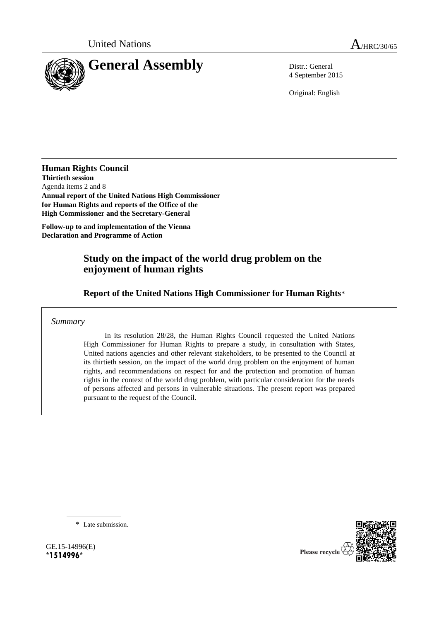

4 September 2015

Original: English

**Human Rights Council Thirtieth session** Agenda items 2 and 8 **Annual report of the United Nations High Commissioner for Human Rights and reports of the Office of the High Commissioner and the Secretary-General**

**Follow-up to and implementation of the Vienna Declaration and Programme of Action**

# **Study on the impact of the world drug problem on the enjoyment of human rights**

**Report of the United Nations High Commissioner for Human Rights**\*

*Summary*

In its resolution 28/28, the Human Rights Council requested the United Nations High Commissioner for Human Rights to prepare a study, in consultation with States, United nations agencies and other relevant stakeholders, to be presented to the Council at its thirtieth session, on the impact of the world drug problem on the enjoyment of human rights, and recommendations on respect for and the protection and promotion of human rights in the context of the world drug problem, with particular consideration for the needs of persons affected and persons in vulnerable situations. The present report was prepared pursuant to the request of the Council.

\* Late submission.

GE.15-14996(E) **\*1514996\***

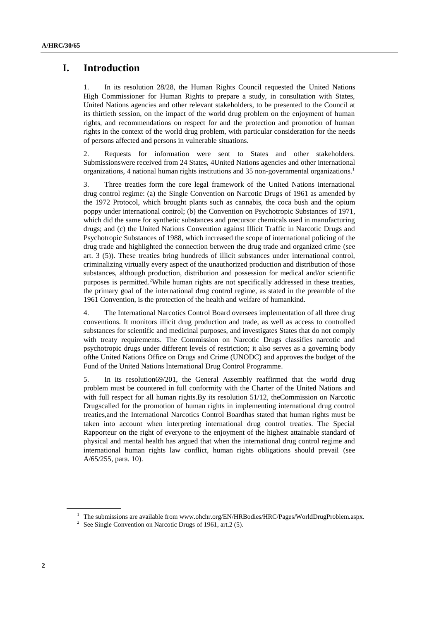# **I. Introduction**

1. In its resolution 28/28, the Human Rights Council requested the United Nations High Commissioner for Human Rights to prepare a study, in consultation with States, United Nations agencies and other relevant stakeholders, to be presented to the Council at its thirtieth session, on the impact of the world drug problem on the enjoyment of human rights, and recommendations on respect for and the protection and promotion of human rights in the context of the world drug problem, with particular consideration for the needs of persons affected and persons in vulnerable situations.

2. Requests for information were sent to States and other stakeholders. Submissionswere received from 24 States, 4United Nations agencies and other international organizations, 4 national human rights institutions and 35 non-governmental organizations.<sup>1</sup>

3. Three treaties form the core legal framework of the United Nations international drug control regime: (a) the Single Convention on Narcotic Drugs of 1961 as amended by the 1972 Protocol, which brought plants such as cannabis, the coca bush and the opium poppy under international control; (b) the Convention on Psychotropic Substances of 1971, which did the same for synthetic substances and precursor chemicals used in manufacturing drugs; and (c) the United Nations Convention against Illicit Traffic in Narcotic Drugs and Psychotropic Substances of 1988, which increased the scope of international policing of the drug trade and highlighted the connection between the drug trade and organized crime (see art. 3 (5)). These treaties bring hundreds of illicit substances under international control, criminalizing virtually every aspect of the unauthorized production and distribution of those substances, although production, distribution and possession for medical and/or scientific purposes is permitted.<sup>2</sup>While human rights are not specifically addressed in these treaties, the primary goal of the international drug control regime, as stated in the preamble of the 1961 Convention, is the protection of the health and welfare of humankind.

4. The International Narcotics Control Board oversees implementation of all three drug conventions. It monitors illicit drug production and trade, as well as access to controlled substances for scientific and medicinal purposes, and investigates States that do not comply with treaty requirements. The Commission on Narcotic Drugs classifies narcotic and psychotropic drugs under different levels of restriction; it also serves as a governing body ofthe United Nations Office on Drugs and Crime (UNODC) and approves the budget of the Fund of the United Nations International Drug Control Programme.

5. In its resolution69/201, the General Assembly reaffirmed that the world drug problem must be countered in full conformity with the Charter of the United Nations and with full respect for all human rights.By its resolution 51/12, the Commission on Narcotic Drugscalled for the promotion of human rights in implementing international drug control treaties,and the International Narcotics Control Boardhas stated that human rights must be taken into account when interpreting international drug control treaties. The Special Rapporteur on the right of everyone to the enjoyment of the highest attainable standard of physical and mental health has argued that when the international drug control regime and international human rights law conflict, human rights obligations should prevail (see A/65/255, para. 10).

 $1$  The submissions are available from www.ohchr.org/EN/HRBodies/HRC/Pages/WorldDrugProblem.aspx.

<sup>&</sup>lt;sup>2</sup> See Single Convention on Narcotic Drugs of 1961, art.2 (5).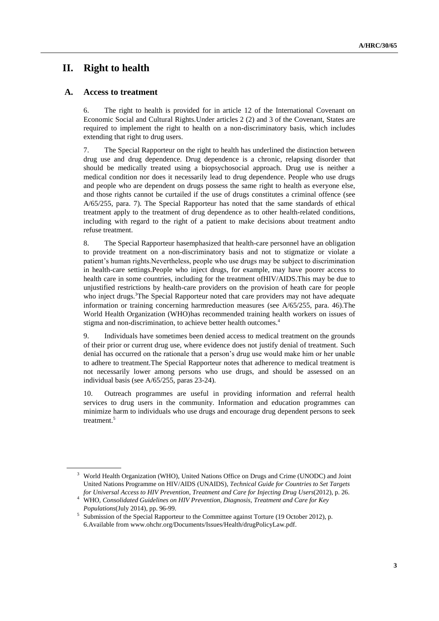# **II. Right to health**

#### **A. Access to treatment**

6. The right to health is provided for in article 12 of the International Covenant on Economic Social and Cultural Rights.Under articles 2 (2) and 3 of the Covenant, States are required to implement the right to health on a non-discriminatory basis, which includes extending that right to drug users.

7. The Special Rapporteur on the right to health has underlined the distinction between drug use and drug dependence. Drug dependence is a chronic, relapsing disorder that should be medically treated using a biopsychosocial approach. Drug use is neither a medical condition nor does it necessarily lead to drug dependence. People who use drugs and people who are dependent on drugs possess the same right to health as everyone else, and those rights cannot be curtailed if the use of drugs constitutes a criminal offence (see A/65/255, para. 7). The Special Rapporteur has noted that the same standards of ethical treatment apply to the treatment of drug dependence as to other health-related conditions, including with regard to the right of a patient to make decisions about treatment andto refuse treatment.

8. The Special Rapporteur hasemphasized that health-care personnel have an obligation to provide treatment on a non-discriminatory basis and not to stigmatize or violate a patient's human rights.Nevertheless, people who use drugs may be subject to discrimination in health-care settings.People who inject drugs, for example, may have poorer access to health care in some countries, including for the treatment ofHIV/AIDS.This may be due to unjustified restrictions by health-care providers on the provision of heath care for people who inject drugs.<sup>3</sup>The Special Rapporteur noted that care providers may not have adequate information or training concerning harmreduction measures (see A/65/255, para. 46).The World Health Organization (WHO)has recommended training health workers on issues of stigma and non-discrimination, to achieve better health outcomes.<sup>4</sup>

9. Individuals have sometimes been denied access to medical treatment on the grounds of their prior or current drug use, where evidence does not justify denial of treatment. Such denial has occurred on the rationale that a person's drug use would make him or her unable to adhere to treatment.The Special Rapporteur notes that adherence to medical treatment is not necessarily lower among persons who use drugs, and should be assessed on an individual basis (see A/65/255, paras 23-24).

10. Outreach programmes are useful in providing information and referral health services to drug users in the community. Information and education programmes can minimize harm to individuals who use drugs and encourage drug dependent persons to seek treatment.<sup>5</sup>

<sup>&</sup>lt;sup>3</sup> World Health Organization (WHO), United Nations Office on Drugs and Crime (UNODC) and Joint United Nations Programme on HIV/AIDS (UNAIDS), *Technical Guide for Countries to Set Targets for Universal Access to HIV Prevention, Treatment and Care for Injecting Drug Users*(2012), p. 26.

<sup>4</sup> WHO, *Consolidated Guidelines on HIV Prevention, Diagnosis, Treatment and Care for Key Populations*(July 2014), pp. 96-99.

<sup>&</sup>lt;sup>5</sup> Submission of the Special Rapporteur to the Committee against Torture (19 October 2012), p. 6.Available from www.ohchr.org/Documents/Issues/Health/drugPolicyLaw.pdf.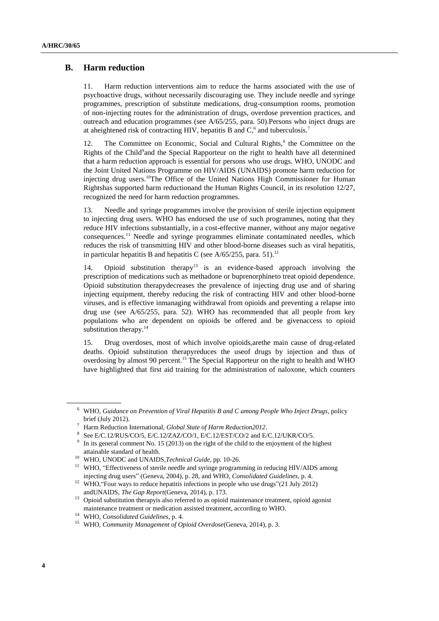### **B. Harm reduction**

11. Harm reduction interventions aim to reduce the harms associated with the use of psychoactive drugs, without necessarily discouraging use. They include needle and syringe programmes, prescription of substitute medications, drug-consumption rooms, promotion of non-injecting routes for the administration of drugs, overdose prevention practices, and outreach and education programmes (see A/65/255, para. 50).Persons who inject drugs are at aheightened risk of contracting HIV, hepatitis B and  $C<sub>1</sub>$ <sup>6</sup> and tuberculosis.<sup>7</sup>

12. The Committee on Economic, Social and Cultural Rights,<sup>8</sup> the Committee on the Rights of the Child<sup>9</sup>and the Special Rapporteur on the right to health have all determined that a harm reduction approach is essential for persons who use drugs. WHO, UNODC and the Joint United Nations Programme on HIV/AIDS (UNAIDS) promote harm reduction for injecting drug users.<sup>10</sup>The Office of the United Nations High Commissioner for Human Rightshas supported harm reductionand the Human Rights Council, in its resolution 12/27, recognized the need for harm reduction programmes.

13. Needle and syringe programmes involve the provision of sterile injection equipment to injecting drug users. WHO has endorsed the use of such programmes, noting that they reduce HIV infections substantially, in a cost-effective manner, without any major negative consequences.<sup>11</sup> Needle and syringe programmes eliminate contaminated needles, which reduces the risk of transmitting HIV and other blood-borne diseases such as viral hepatitis, in particular hepatitis B and hepatitis C (see  $A/65/255$ , para. 51).<sup>12</sup>

14. Opioid substitution therapy<sup>13</sup> is an evidence-based approach involving the prescription of medications such as methadone or buprenorphineto treat opioid dependence. Opioid substitution therapydecreases the prevalence of injecting drug use and of sharing injecting equipment, thereby reducing the risk of contracting HIV and other blood-borne viruses, and is effective inmanaging withdrawal from opioids and preventing a relapse into drug use (see A/65/255, para. 52). WHO has recommended that all people from key populations who are dependent on opioids be offered and be givenaccess to opioid substitution therapy.<sup>14</sup>

15. Drug overdoses, most of which involve opioids,arethe main cause of drug-related deaths. Opioid substitution therapyreduces the useof drugs by injection and thus of overdosing by almost 90 percent.<sup>15</sup> The Special Rapporteur on the right to health and WHO have highlighted that first aid training for the administration of naloxone, which counters

<sup>6</sup> WHO, *Guidance on Prevention of Viral Hepatitis B and C among People Who Inject Drugs*, policy brief (July 2012).

<sup>7</sup> Harm Reduction International, *Global State of Harm Reduction2012*.

<sup>8</sup> See E/C.12/RUS/CO/5, E/C.12/ZAZ/CO/1, E/C.12/EST/CO/2 and E/C.12/UKR/CO/5.

<sup>9</sup> In its general comment No. 15 (2013) on the right of the child to the enjoyment of the highest attainable standard of health.

<sup>10</sup> WHO, UNODC and UNAIDS,*Technical Guide*, pp. 10-26.

<sup>&</sup>lt;sup>11</sup> WHO, "Effectiveness of sterile needle and syringe programming in reducing HIV/AIDS among injecting drug users" (Geneva, 2004), p. 28, and WHO, *Consolidated Guidelines*, p. 4.

<sup>&</sup>lt;sup>12</sup> WHO, "Four ways to reduce hepatitis infections in people who use drugs"(21 July 2012) andUNAIDS, *The Gap Report*(Geneva, 2014), p. 173.

<sup>&</sup>lt;sup>13</sup> Opioid substitution therapyis also referred to as opioid maintenance treatment, opioid agonist maintenance treatment or medication assisted treatment, according to WHO.

<sup>14</sup> WHO, *Consolidated Guidelines*, p. 4.

<sup>15</sup> WHO, *Community Management of Opioid Overdose*(Geneva, 2014), p. 3.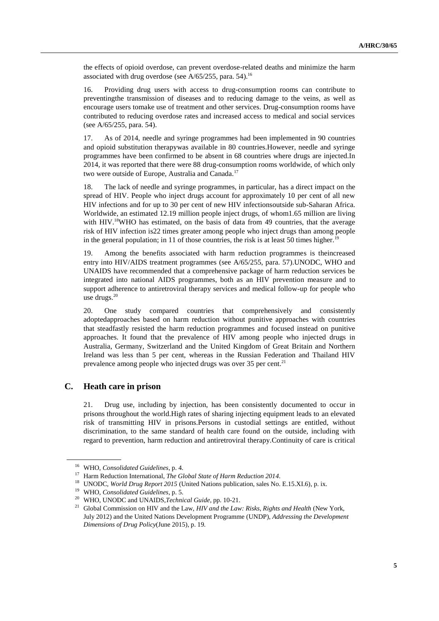the effects of opioid overdose, can prevent overdose-related deaths and minimize the harm associated with drug overdose (see  $A/65/255$ , para. 54).<sup>16</sup>

16. Providing drug users with access to drug-consumption rooms can contribute to preventingthe transmission of diseases and to reducing damage to the veins, as well as encourage users tomake use of treatment and other services. Drug-consumption rooms have contributed to reducing overdose rates and increased access to medical and social services (see A/65/255, para. 54).

17. As of 2014, needle and syringe programmes had been implemented in 90 countries and opioid substitution therapywas available in 80 countries.However, needle and syringe programmes have been confirmed to be absent in 68 countries where drugs are injected.In 2014, it was reported that there were 88 drug-consumption rooms worldwide, of which only two were outside of Europe, Australia and Canada.<sup>17</sup>

18. The lack of needle and syringe programmes, in particular, has a direct impact on the spread of HIV. People who inject drugs account for approximately 10 per cent of all new HIV infections and for up to 30 per cent of new HIV infectionsoutside sub-Saharan Africa. Worldwide, an estimated 12.19 million people inject drugs, of whom1.65 million are living with HIV.<sup>18</sup>WHO has estimated, on the basis of data from 49 countries, that the average risk of HIV infection is22 times greater among people who inject drugs than among people in the general population; in 11 of those countries, the risk is at least 50 times higher.<sup>19</sup>

19. Among the benefits associated with harm reduction programmes is theincreased entry into HIV/AIDS treatment programmes (see A/65/255, para. 57).UNODC, WHO and UNAIDS have recommended that a comprehensive package of harm reduction services be integrated into national AIDS programmes, both as an HIV prevention measure and to support adherence to antiretroviral therapy services and medical follow-up for people who use drugs.<sup>20</sup>

20. One study compared countries that comprehensively and consistently adoptedapproaches based on harm reduction without punitive approaches with countries that steadfastly resisted the harm reduction programmes and focused instead on punitive approaches. It found that the prevalence of HIV among people who injected drugs in Australia, Germany, Switzerland and the United Kingdom of Great Britain and Northern Ireland was less than 5 per cent, whereas in the Russian Federation and Thailand HIV prevalence among people who injected drugs was over  $35$  per cent.<sup>21</sup>

### **C. Heath care in prison**

21. Drug use, including by injection, has been consistently documented to occur in prisons throughout the world.High rates of sharing injecting equipment leads to an elevated risk of transmitting HIV in prisons.Persons in custodial settings are entitled, without discrimination, to the same standard of health care found on the outside, including with regard to prevention, harm reduction and antiretroviral therapy.Continuity of care is critical

<sup>16</sup> WHO, *Consolidated Guidelines*, p. 4.

<sup>17</sup> Harm Reduction International, *The Global State of Harm Reduction 2014*.

<sup>18</sup> UNODC, *World Drug Report 2015* (United Nations publication, sales No. E.15.XI.6), p. ix.

<sup>19</sup> WHO, *Consolidated Guidelines*, p. 5.

<sup>20</sup> WHO, UNODC and UNAIDS,*Technical Guide*, pp. 10-21.

<sup>21</sup> Global Commission on HIV and the Law, *HIV and the Law: Risks, Rights and Health* (New York, July 2012) and the United Nations Development Programme (UNDP), *Addressing the Development Dimensions of Drug Policy*(June 2015), p. 19.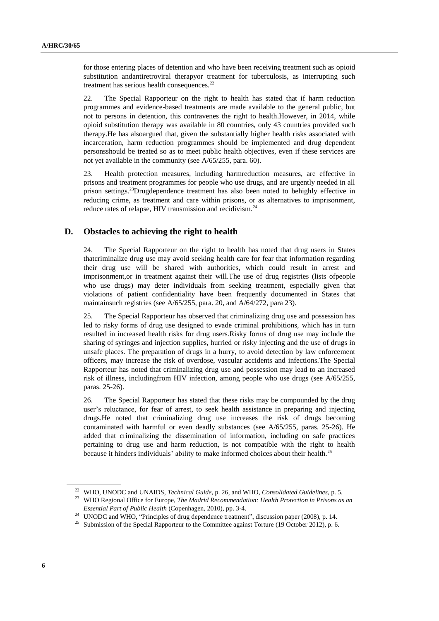for those entering places of detention and who have been receiving treatment such as opioid substitution andantiretroviral therapyor treatment for tuberculosis, as interrupting such treatment has serious health consequences.<sup>22</sup>

22. The Special Rapporteur on the right to health has stated that if harm reduction programmes and evidence-based treatments are made available to the general public, but not to persons in detention, this contravenes the right to health.However, in 2014, while opioid substitution therapy was available in 80 countries, only 43 countries provided such therapy.He has alsoargued that, given the substantially higher health risks associated with incarceration, harm reduction programmes should be implemented and drug dependent personsshould be treated so as to meet public health objectives, even if these services are not yet available in the community (see A/65/255, para. 60).

23. Health protection measures, including harmreduction measures, are effective in prisons and treatment programmes for people who use drugs, and are urgently needed in all prison settings.<sup>23</sup>Drugdependence treatment has also been noted to behighly effective in reducing crime, as treatment and care within prisons, or as alternatives to imprisonment, reduce rates of relapse. HIV transmission and recidivism.<sup>24</sup>

### **D. Obstacles to achieving the right to health**

24. The Special Rapporteur on the right to health has noted that drug users in States thatcriminalize drug use may avoid seeking health care for fear that information regarding their drug use will be shared with authorities, which could result in arrest and imprisonment,or in treatment against their will.The use of drug registries (lists ofpeople who use drugs) may deter individuals from seeking treatment, especially given that violations of patient confidentiality have been frequently documented in States that maintainsuch registries (see A/65/255, para. 20, and A/64/272, para 23).

25. The Special Rapporteur has observed that criminalizing drug use and possession has led to risky forms of drug use designed to evade criminal prohibitions, which has in turn resulted in increased health risks for drug users.Risky forms of drug use may include the sharing of syringes and injection supplies, hurried or risky injecting and the use of drugs in unsafe places. The preparation of drugs in a hurry, to avoid detection by law enforcement officers, may increase the risk of overdose, vascular accidents and infections.The Special Rapporteur has noted that criminalizing drug use and possession may lead to an increased risk of illness, includingfrom HIV infection, among people who use drugs (see A/65/255, paras. 25-26).

26. The Special Rapporteur has stated that these risks may be compounded by the drug user's reluctance, for fear of arrest, to seek health assistance in preparing and injecting drugs.He noted that criminalizing drug use increases the risk of drugs becoming contaminated with harmful or even deadly substances (see A/65/255, paras. 25-26). He added that criminalizing the dissemination of information, including on safe practices pertaining to drug use and harm reduction, is not compatible with the right to health because it hinders individuals' ability to make informed choices about their health.<sup>25</sup>

<sup>22</sup> WHO, UNODC and UNAIDS, *Technical Guide*, p. 26, and WHO, *Consolidated Guidelines*, p. 5.

<sup>23</sup> WHO Regional Office for Europe, *The Madrid Recommendation: Health Protection in Prisons as an Essential Part of Public Health* (Copenhagen, 2010), pp. 3-4.

<sup>&</sup>lt;sup>24</sup> UNODC and WHO, "Principles of drug dependence treatment", discussion paper (2008), p. 14.

<sup>&</sup>lt;sup>25</sup> Submission of the Special Rapporteur to the Committee against Torture (19 October 2012), p. 6.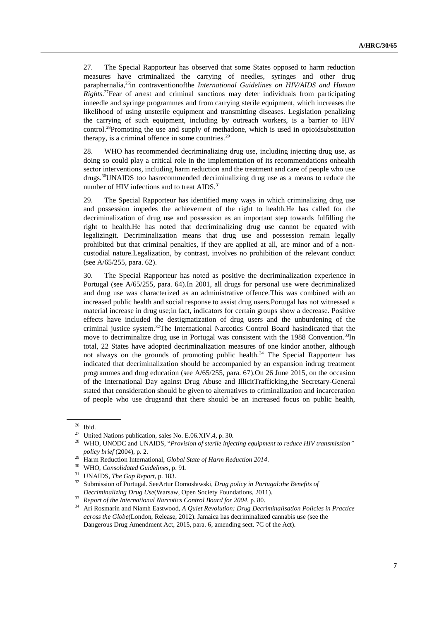27. The Special Rapporteur has observed that some States opposed to harm reduction measures have criminalized the carrying of needles, syringes and other drug paraphernalia,<sup>26</sup>in contraventionofthe *International Guidelines on HIV/AIDS and Human Rights*. <sup>27</sup>Fear of arrest and criminal sanctions may deter individuals from participating inneedle and syringe programmes and from carrying sterile equipment, which increases the likelihood of using unsterile equipment and transmitting diseases. Legislation penalizing the carrying of such equipment, including by outreach workers, is a barrier to HIV control.<sup>28</sup>Promoting the use and supply of methadone, which is used in opioidsubstitution therapy, is a criminal offence in some countries. $29$ 

28. WHO has recommended decriminalizing drug use, including injecting drug use, as doing so could play a critical role in the implementation of its recommendations onhealth sector interventions, including harm reduction and the treatment and care of people who use drugs.<sup>30</sup>UNAIDS too hasrecommended decriminalizing drug use as a means to reduce the number of HIV infections and to treat AIDS.<sup>31</sup>

29. The Special Rapporteur has identified many ways in which criminalizing drug use and possession impedes the achievement of the right to health.He has called for the decriminalization of drug use and possession as an important step towards fulfilling the right to health.He has noted that decriminalizing drug use cannot be equated with legalizingit. Decriminalization means that drug use and possession remain legally prohibited but that criminal penalties, if they are applied at all, are minor and of a noncustodial nature.Legalization, by contrast, involves no prohibition of the relevant conduct (see A/65/255, para. 62).

30. The Special Rapporteur has noted as positive the decriminalization experience in Portugal (see A/65/255, para. 64).In 2001, all drugs for personal use were decriminalized and drug use was characterized as an administrative offence.This was combined with an increased public health and social response to assist drug users.Portugal has not witnessed a material increase in drug use;in fact, indicators for certain groups show a decrease. Positive effects have included the destigmatization of drug users and the unburdening of the criminal justice system.<sup>32</sup>The International Narcotics Control Board hasindicated that the move to decriminalize drug use in Portugal was consistent with the 1988 Convention.<sup>33</sup>In total, 22 States have adopted decriminalization measures of one kindor another, although not always on the grounds of promoting public health.<sup>34</sup> The Special Rapporteur has indicated that decriminalization should be accompanied by an expansion indrug treatment programmes and drug education (see A/65/255, para. 67).On 26 June 2015, on the occasion of the International Day against Drug Abuse and IllicitTrafficking,the Secretary-General stated that consideration should be given to alternatives to criminalization and incarceration of people who use drugsand that there should be an increased focus on public health,

 $rac{26}{27}$  Ibid.

<sup>&</sup>lt;sup>27</sup> United Nations publication, sales No. E.06.XIV.4, p. 30.<br><sup>28</sup> WHO JINODC and JINAIDS. "*Provision of starile injo* 

<sup>28</sup> WHO, UNODC and UNAIDS, "*Provision of sterile injecting equipment to reduce HIV transmission" policy brief* (2004), p. 2.

<sup>29</sup> Harm Reduction International, *Global State of Harm Reduction 2014*.

<sup>30</sup> WHO, *Consolidated Guidelines*, p. 91.

<sup>31</sup> UNAIDS, *The Gap Report*, p. 183.

<sup>32</sup> Submission of Portugal. SeeArtur Domosławski, *Drug policy in Portugal:the Benefits of Decriminalizing Drug Use*(Warsaw, Open Society Foundations, 2011).

<sup>33</sup> *Report of the International Narcotics Control Board for 2004*, p. 80.

<sup>34</sup> Ari Rosmarin and Niamh Eastwood, *A Quiet Revolution: Drug Decriminalisation Policies in Practice across the Globe*(London, Release, 2012). Jamaica has decriminalized cannabis use (see the Dangerous Drug Amendment Act, 2015, para. 6, amending sect. 7C of the Act).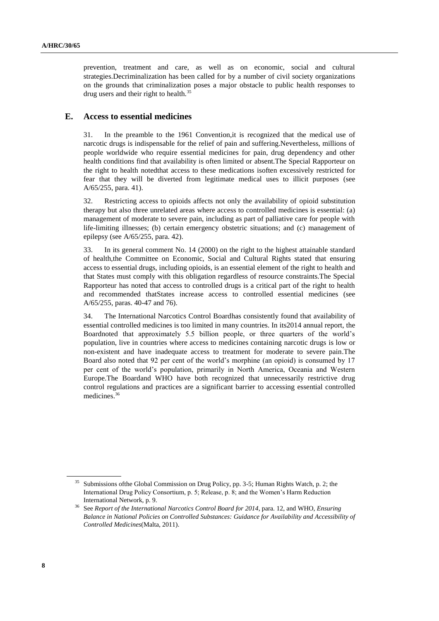prevention, treatment and care, as well as on economic, social and cultural strategies.Decriminalization has been called for by a number of civil society organizations on the grounds that criminalization poses a major obstacle to public health responses to drug users and their right to health.<sup>35</sup>

### **E. Access to essential medicines**

31. In the preamble to the 1961 Convention,it is recognized that the medical use of narcotic drugs is indispensable for the relief of pain and suffering.Nevertheless, millions of people worldwide who require essential medicines for pain, drug dependency and other health conditions find that availability is often limited or absent.The Special Rapporteur on the right to health notedthat access to these medications isoften excessively restricted for fear that they will be diverted from legitimate medical uses to illicit purposes (see A/65/255, para. 41).

32. Restricting access to opioids affects not only the availability of opioid substitution therapy but also three unrelated areas where access to controlled medicines is essential: (a) management of moderate to severe pain, including as part of palliative care for people with life-limiting illnesses; (b) certain emergency obstetric situations; and (c) management of epilepsy (see A/65/255, para. 42).

33. In its general comment No. 14 (2000) on the right to the highest attainable standard of health,the Committee on Economic, Social and Cultural Rights stated that ensuring access to essential drugs, including opioids, is an essential element of the right to health and that States must comply with this obligation regardless of resource constraints.The Special Rapporteur has noted that access to controlled drugs is a critical part of the right to health and recommended thatStates increase access to controlled essential medicines (see A/65/255, paras. 40-47 and 76).

34. The International Narcotics Control Boardhas consistently found that availability of essential controlled medicines is too limited in many countries. In its2014 annual report, the Boardnoted that approximately 5.5 billion people, or three quarters of the world's population, live in countries where access to medicines containing narcotic drugs is low or non-existent and have inadequate access to treatment for moderate to severe pain.The Board also noted that 92 per cent of the world's morphine (an opioid) is consumed by 17 per cent of the world's population, primarily in North America, Oceania and Western Europe.The Boardand WHO have both recognized that unnecessarily restrictive drug control regulations and practices are a significant barrier to accessing essential controlled medicines.<sup>36</sup>

Submissions of the Global Commission on Drug Policy, pp. 3-5; Human Rights Watch, p. 2; the International Drug Policy Consortium, p. 5; Release, p. 8; and the Women's Harm Reduction International Network, p. 9.

<sup>36</sup> See *Report of the International Narcotics Control Board for 2014*, para. 12, and WHO, *Ensuring Balance in National Policies on Controlled Substances: Guidance for Availability and Accessibility of Controlled Medicines*(Malta, 2011).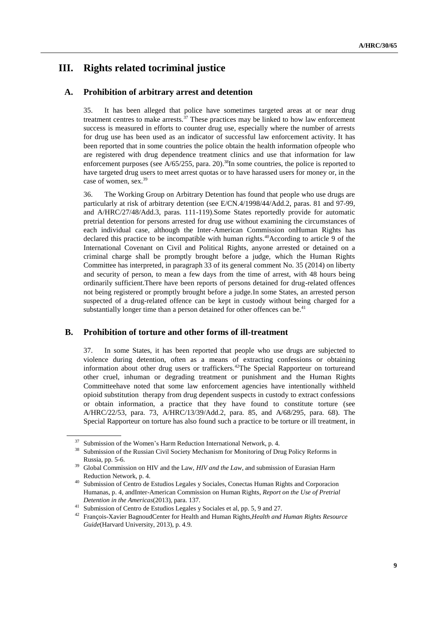# **III. Rights related tocriminal justice**

## **A. Prohibition of arbitrary arrest and detention**

35. It has been alleged that police have sometimes targeted areas at or near drug treatment centres to make arrests.<sup>37</sup> These practices may be linked to how law enforcement success is measured in efforts to counter drug use, especially where the number of arrests for drug use has been used as an indicator of successful law enforcement activity. It has been reported that in some countries the police obtain the health information ofpeople who are registered with drug dependence treatment clinics and use that information for law enforcement purposes (see  $A/65/255$ , para. 20).<sup>38</sup>In some countries, the police is reported to have targeted drug users to meet arrest quotas or to have harassed users for money or, in the case of women, sex.<sup>39</sup>

36. The Working Group on Arbitrary Detention has found that people who use drugs are particularly at risk of arbitrary detention (see E/CN.4/1998/44/Add.2, paras. 81 and 97-99, and A/HRC/27/48/Add.3, paras. 111-119).Some States reportedly provide for automatic pretrial detention for persons arrested for drug use without examining the circumstances of each individual case, although the Inter-American Commission onHuman Rights has declared this practice to be incompatible with human rights.<sup>40</sup>According to article 9 of the International Covenant on Civil and Political Rights, anyone arrested or detained on a criminal charge shall be promptly brought before a judge, which the Human Rights Committee has interpreted, in paragraph 33 of its general comment No. 35 (2014) on liberty and security of person, to mean a few days from the time of arrest, with 48 hours being ordinarily sufficient.There have been reports of persons detained for drug-related offences not being registered or promptly brought before a judge.In some States, an arrested person suspected of a drug-related offence can be kept in custody without being charged for a substantially longer time than a person detained for other offences can be.<sup>41</sup>

### **B. Prohibition of torture and other forms of ill-treatment**

37. In some States, it has been reported that people who use drugs are subjected to violence during detention, often as a means of extracting confessions or obtaining information about other drug users or traffickers.<sup>42</sup>The Special Rapporteur on tortureand other cruel, inhuman or degrading treatment or punishment and the Human Rights Committeehave noted that some law enforcement agencies have intentionally withheld opioid substitution therapy from drug dependent suspects in custody to extract confessions or obtain information, a practice that they have found to constitute torture (see A/HRC/22/53, para. 73, A/HRC/13/39/Add.2, para. 85, and A/68/295, para. 68). The Special Rapporteur on torture has also found such a practice to be torture or ill treatment, in

<sup>&</sup>lt;sup>37</sup> Submission of the Women's Harm Reduction International Network, p. 4.<br><sup>38</sup> Submission of the Durain Civil Seciety Mechanism for Manitonian of Du

<sup>38</sup> Submission of the Russian Civil Society Mechanism for Monitoring of Drug Policy Reforms in Russia, pp. 5-6.

<sup>39</sup> Global Commission on HIV and the Law, *HIV and the Law*, and submission of Eurasian Harm Reduction Network, p. 4.

<sup>40</sup> Submission of Centro de Estudios Legales y Sociales, Conectas Human Rights and Corporacion Humanas, p. 4, andInter-American Commission on Human Rights, *Report on the Use of Pretrial Detention in the Americas*(2013), para. 137.

<sup>&</sup>lt;sup>41</sup> Submission of Centro de Estudios Legales y Sociales et al, pp. 5, 9 and 27.

<sup>42</sup> François-Xavier BagnoudCenter for Health and Human Rights,*Health and Human Rights Resource Guide*(Harvard University, 2013), p. 4.9.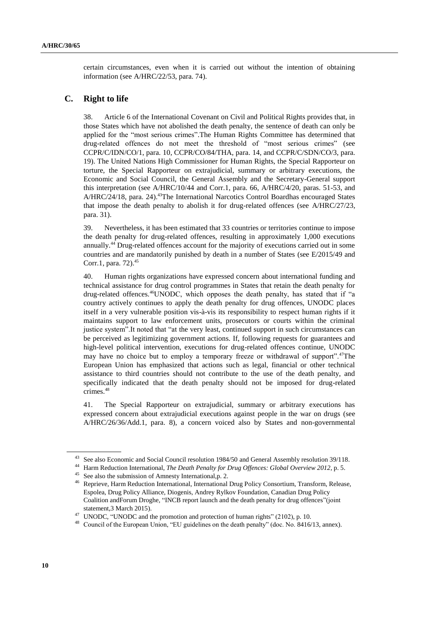certain circumstances, even when it is carried out without the intention of obtaining information (see A/HRC/22/53, para. 74).

### **C. Right to life**

38. Article 6 of the International Covenant on Civil and Political Rights provides that, in those States which have not abolished the death penalty, the sentence of death can only be applied for the "most serious crimes".The Human Rights Committee has determined that drug-related offences do not meet the threshold of "most serious crimes" (see CCPR/C/IDN/CO/1, para. 10, CCPR/CO/84/THA, para. 14, and CCPR/C/SDN/CO/3, para. 19). The United Nations High Commissioner for Human Rights, the Special Rapporteur on torture, the Special Rapporteur on extrajudicial, summary or arbitrary executions, the Economic and Social Council, the General Assembly and the Secretary-General support this interpretation (see A/HRC/10/44 and Corr.1, para. 66, A/HRC/4/20, paras. 51-53, and A/HRC/24/18, para. 24).<sup>43</sup>The International Narcotics Control Boardhas encouraged States that impose the death penalty to abolish it for drug-related offences (see A/HRC/27/23, para. 31).

39. Nevertheless, it has been estimated that 33 countries or territories continue to impose the death penalty for drug-related offences, resulting in approximately 1,000 executions annually.<sup>44</sup> Drug-related offences account for the majority of executions carried out in some countries and are mandatorily punished by death in a number of States (see E/2015/49 and Corr.1, para. 72). 45

40. Human rights organizations have expressed concern about international funding and technical assistance for drug control programmes in States that retain the death penalty for drug-related offences.<sup>46</sup>UNODC, which opposes the death penalty, has stated that if "a country actively continues to apply the death penalty for drug offences, UNODC places itself in a very vulnerable position vis-à-vis its responsibility to respect human rights if it maintains support to law enforcement units, prosecutors or courts within the criminal justice system".It noted that "at the very least, continued support in such circumstances can be perceived as legitimizing government actions. If, following requests for guarantees and high-level political intervention, executions for drug-related offences continue, UNODC may have no choice but to employ a temporary freeze or withdrawal of support".<sup>47</sup>The European Union has emphasized that actions such as legal, financial or other technical assistance to third countries should not contribute to the use of the death penalty, and specifically indicated that the death penalty should not be imposed for drug-related crimes.<sup>48</sup>

41. The Special Rapporteur on extrajudicial, summary or arbitrary executions has expressed concern about extrajudicial executions against people in the war on drugs (see A/HRC/26/36/Add.1, para. 8), a concern voiced also by States and non-governmental

<sup>&</sup>lt;sup>43</sup> See also Economic and Social Council resolution 1984/50 and General Assembly resolution 39/118.

<sup>44</sup> Harm Reduction International, *The Death Penalty for Drug Offences: Global Overview 2012*, p. 5.

<sup>45</sup> See also the submission of Amnesty International,p. 2.

<sup>46</sup> Reprieve, Harm Reduction International, International Drug Policy Consortium, Transform, Release, Espolea, Drug Policy Alliance, Diogenis, Andrey Rylkov Foundation, Canadian Drug Policy Coalition andForum Droghe, "INCB report launch and the death penalty for drug offences"(joint statement,3 March 2015).

<sup>&</sup>lt;sup>47</sup> UNODC, "UNODC and the promotion and protection of human rights" (2102), p. 10.

<sup>&</sup>lt;sup>48</sup> Council of the European Union, "EU guidelines on the death penalty" (doc. No. 8416/13, annex).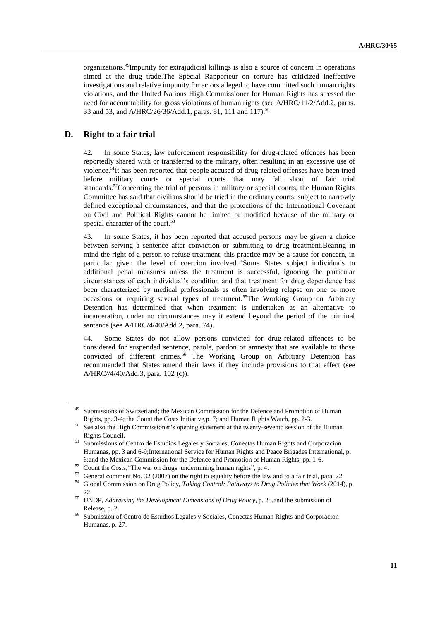organizations. <sup>49</sup>Impunity for extrajudicial killings is also a source of concern in operations aimed at the drug trade.The Special Rapporteur on torture has criticized ineffective investigations and relative impunity for actors alleged to have committed such human rights violations, and the United Nations High Commissioner for Human Rights has stressed the need for accountability for gross violations of human rights (see A/HRC/11/2/Add.2, paras. 33 and 53, and A/HRC/26/36/Add.1, paras. 81, 111 and 117).<sup>50</sup>

### **D. Right to a fair trial**

42. In some States, law enforcement responsibility for drug-related offences has been reportedly shared with or transferred to the military, often resulting in an excessive use of violence.<sup>51</sup>It has been reported that people accused of drug-related offenses have been tried before military courts or special courts that may fall short of fair trial standards.<sup>52</sup>Concerning the trial of persons in military or special courts, the Human Rights Committee has said that civilians should be tried in the ordinary courts, subject to narrowly defined exceptional circumstances, and that the protections of the International Covenant on Civil and Political Rights cannot be limited or modified because of the military or special character of the court.<sup>53</sup>

43. In some States, it has been reported that accused persons may be given a choice between serving a sentence after conviction or submitting to drug treatment.Bearing in mind the right of a person to refuse treatment, this practice may be a cause for concern, in particular given the level of coercion involved.<sup>54</sup>Some States subject individuals to additional penal measures unless the treatment is successful, ignoring the particular circumstances of each individual's condition and that treatment for drug dependence has been characterized by medical professionals as often involving relapse on one or more occasions or requiring several types of treatment.<sup>55</sup>The Working Group on Arbitrary Detention has determined that when treatment is undertaken as an alternative to incarceration, under no circumstances may it extend beyond the period of the criminal sentence (see A/HRC/4/40/Add.2, para. 74).

44. Some States do not allow persons convicted for drug-related offences to be considered for suspended sentence, parole, pardon or amnesty that are available to those convicted of different crimes.<sup>56</sup> The Working Group on Arbitrary Detention has recommended that States amend their laws if they include provisions to that effect (see A/HRC//4/40/Add.3, para. 102 (c)).

Submissions of Switzerland; the Mexican Commission for the Defence and Promotion of Human Rights, pp. 3-4; the Count the Costs Initiative,p. 7; and Human Rights Watch, pp. 2-3.

<sup>&</sup>lt;sup>50</sup> See also the High Commissioner's opening statement at the twenty-seventh session of the Human Rights Council.

<sup>&</sup>lt;sup>51</sup> Submissions of Centro de Estudios Legales y Sociales, Conectas Human Rights and Corporacion Humanas, pp. 3 and 6-9;International Service for Human Rights and Peace Brigades International, p. 6;and the Mexican Commission for the Defence and Promotion of Human Rights, pp. 1-6.

<sup>52</sup> Count the Costs,"The war on drugs: undermining human rights", p. 4.

<sup>&</sup>lt;sup>53</sup> General comment No. 32 (2007) on the right to equality before the law and to a fair trial, para. 22.<br><sup>54</sup> Clabel Commission on Drug Policy, *Tabino Control*y *Policing to Drug Policies that West (2014)* 

<sup>54</sup> Global Commission on Drug Policy, *Taking Control: Pathways to Drug Policies that Work* (2014), p. 22.

<sup>55</sup> UNDP, *Addressing the Development Dimensions of Drug Policy*, p. 25,and the submission of Release, p. 2.

<sup>56</sup> Submission of Centro de Estudios Legales y Sociales, Conectas Human Rights and Corporacion Humanas, p. 27.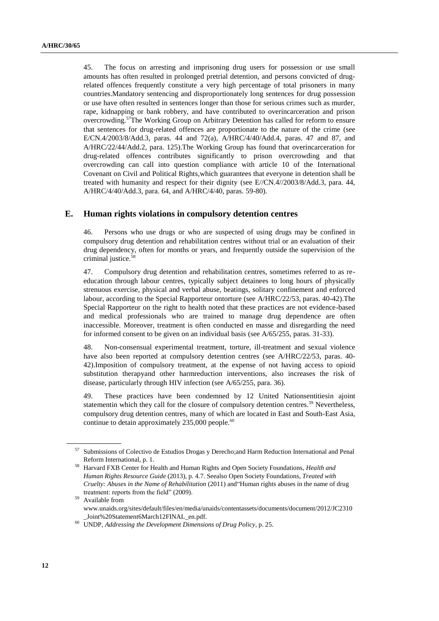45. The focus on arresting and imprisoning drug users for possession or use small amounts has often resulted in prolonged pretrial detention, and persons convicted of drugrelated offences frequently constitute a very high percentage of total prisoners in many countries.Mandatory sentencing and disproportionately long sentences for drug possession or use have often resulted in sentences longer than those for serious crimes such as murder, rape, kidnapping or bank robbery, and have contributed to overincarceration and prison overcrowding.<sup>57</sup>The Working Group on Arbitrary Detention has called for reform to ensure that sentences for drug-related offences are proportionate to the nature of the crime (see E/CN.4/2003/8/Add.3, paras. 44 and 72(a), A/HRC/4/40/Add.4, paras. 47 and 87, and A/HRC/22/44/Add.2, para. 125).The Working Group has found that overincarceration for drug-related offences contributes significantly to prison overcrowding and that overcrowding can call into question compliance with article 10 of the International Covenant on Civil and Political Rights,which guarantees that everyone in detention shall be treated with humanity and respect for their dignity (see E//CN.4//2003/8/Add.3, para. 44, A/HRC/4/40/Add.3, para. 64, and A/HRC/4/40, paras. 59-80).

#### **E. Human rights violations in compulsory detention centres**

46. Persons who use drugs or who are suspected of using drugs may be confined in compulsory drug detention and rehabilitation centres without trial or an evaluation of their drug dependency, often for months or years, and frequently outside the supervision of the criminal justice.<sup>58</sup>

47. Compulsory drug detention and rehabilitation centres, sometimes referred to as reeducation through labour centres, typically subject detainees to long hours of physically strenuous exercise, physical and verbal abuse, beatings, solitary confinement and enforced labour, according to the Special Rapporteur ontorture (see A/HRC/22/53, paras. 40-42).The Special Rapporteur on the right to health noted that these practices are not evidence-based and medical professionals who are trained to manage drug dependence are often inaccessible. Moreover, treatment is often conducted en masse and disregarding the need for informed consent to be given on an individual basis (see A/65/255, paras. 31-33).

48. Non-consensual experimental treatment, torture, ill-treatment and sexual violence have also been reported at compulsory detention centres (see A/HRC/22/53, paras. 40- 42).Imposition of compulsory treatment, at the expense of not having access to opioid substitution therapyand other harmreduction interventions, also increases the risk of disease, particularly through HIV infection (see A/65/255, para. 36).

49. These practices have been condemned by 12 United Nationsentitiesin ajoint statementin which they call for the closure of compulsory detention centres.<sup>59</sup> Nevertheless, compulsory drug detention centres, many of which are located in East and South-East Asia, continue to detain approximately  $235,000$  people.<sup>60</sup>

 $59$  Available from www.unaids.org/sites/default/files/en/media/unaids/contentassets/documents/document/2012/JC2310 \_Joint%20Statement6March12FINAL\_en.pdf.

<sup>57</sup> Submissions of Colectivo de Estudios Drogas y Derecho;and Harm Reduction International and Penal Reform International, p. 1.

<sup>58</sup> Harvard FXB Center for Health and Human Rights and Open Society Foundations, *Health and Human Rights Resource Guide* (2013), p. 4.7. Seealso Open Society Foundations, *Treated with Cruelty: Abuses in the Name of Rehabilitation* (2011) and"Human rights abuses in the name of drug treatment: reports from the field" (2009).

<sup>60</sup> UNDP, *Addressing the Development Dimensions of Drug Policy*, p. 25.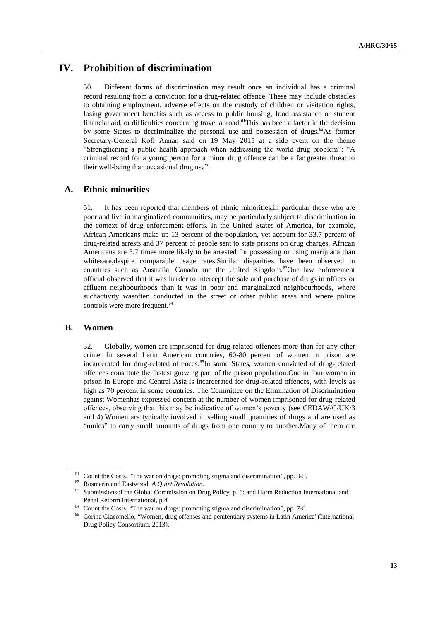# **IV. Prohibition of discrimination**

50. Different forms of discrimination may result once an individual has a criminal record resulting from a conviction for a drug-related offence. These may include obstacles to obtaining employment, adverse effects on the custody of children or visitation rights, losing government benefits such as access to public housing, food assistance or student financial aid, or difficulties concerning travel abroad. <sup>61</sup>This has been a factor in the decision by some States to decriminalize the personal use and possession of drugs.<sup>62</sup>As former Secretary-General Kofi Annan said on 19 May 2015 at a side event on the theme "Strengthening a public health approach when addressing the world drug problem": "A criminal record for a young person for a minor drug offence can be a far greater threat to their well-being than occasional drug use".

#### **A. Ethnic minorities**

51. It has been reported that members of ethnic minorities,in particular those who are poor and live in marginalized communities, may be particularly subject to discrimination in the context of drug enforcement efforts. In the United States of America, for example, African Americans make up 13 percent of the population, yet account for 33.7 percent of drug-related arrests and 37 percent of people sent to state prisons on drug charges. African Americans are 3.7 times more likely to be arrested for possessing or using marijuana than whitesare,despite comparable usage rates.Similar disparities have been observed in countries such as Australia, Canada and the United Kingdom.<sup>63</sup>One law enforcement official observed that it was harder to intercept the sale and purchase of drugs in offices or affluent neighbourhoods than it was in poor and marginalized neighbourhoods, where suchactivity wasoften conducted in the street or other public areas and where police controls were more frequent.<sup>64</sup>

#### **B. Women**

52. Globally, women are imprisoned for drug-related offences more than for any other crime. In several Latin American countries, 60-80 percent of women in prison are incarcerated for drug-related offences.<sup>65</sup>In some States, women convicted of drug-related offences constitute the fastest growing part of the prison population.One in four women in prison in Europe and Central Asia is incarcerated for drug-related offences, with levels as high as 70 percent in some countries. The Committee on the Elimination of Discrimination against Womenhas expressed concern at the number of women imprisoned for drug-related offences, observing that this may be indicative of women's poverty (see CEDAW/C/UK/3 and 4).Women are typically involved in selling small quantities of drugs and are used as "mules" to carry small amounts of drugs from one country to another.Many of them are

<sup>&</sup>lt;sup>61</sup> Count the Costs, "The war on drugs: promoting stigma and discrimination", pp. 3-5.

<sup>62</sup> Rosmarin and Eastwood, *A Quiet Revolution*.

Submissionsof the Global Commission on Drug Policy, p. 6; and Harm Reduction International and Penal Reform International, p.4.

<sup>&</sup>lt;sup>64</sup> Count the Costs, "The war on drugs: promoting stigma and discrimination", pp. 7-8.<br><sup>65</sup> Coring Giacomallo, "Women, drug offenses and popitations systems in Latin Amer

<sup>65</sup> Corina Giacomello, "Women, drug offenses and penitentiary systems in Latin America"(International Drug Policy Consortium, 2013).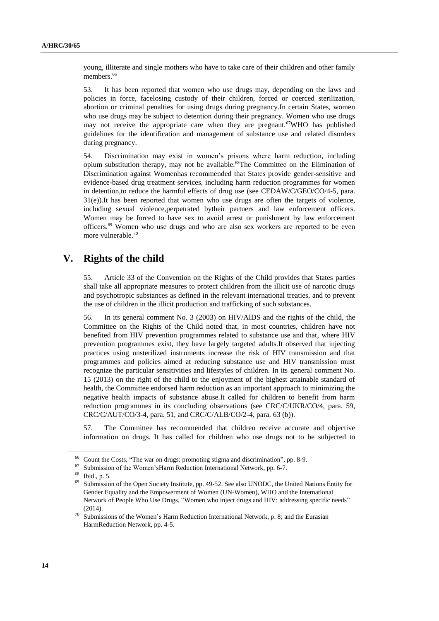young, illiterate and single mothers who have to take care of their children and other family members.<sup>66</sup>

53. It has been reported that women who use drugs may, depending on the laws and policies in force, facelosing custody of their children, forced or coerced sterilization, abortion or criminal penalties for using drugs during pregnancy.In certain States, women who use drugs may be subject to detention during their pregnancy. Women who use drugs may not receive the appropriate care when they are pregnant.<sup>67</sup>WHO has published guidelines for the identification and management of substance use and related disorders during pregnancy.

54. Discrimination may exist in women's prisons where harm reduction, including opium substitution therapy, may not be available.<sup>68</sup>The Committee on the Elimination of Discrimination against Womenhas recommended that States provide gender-sensitive and evidence-based drug treatment services, including harm reduction programmes for women in detention,to reduce the harmful effects of drug use (see CEDAW/C/GEO/CO/4-5, para. 31(e)).It has been reported that women who use drugs are often the targets of violence, including sexual violence,perpetrated bytheir partners and law enforcement officers. Women may be forced to have sex to avoid arrest or punishment by law enforcement officers.<sup>69</sup> Women who use drugs and who are also sex workers are reported to be even more vulnerable. 70

# **V. Rights of the child**

55. Article 33 of the Convention on the Rights of the Child provides that States parties shall take all appropriate measures to protect children from the illicit use of narcotic drugs and psychotropic substances as defined in the relevant international treaties, and to prevent the use of children in the illicit production and trafficking of such substances.

56. In its general comment No. 3 (2003) on HIV/AIDS and the rights of the child, the Committee on the Rights of the Child noted that, in most countries, children have not benefited from HIV prevention programmes related to substance use and that, where HIV prevention programmes exist, they have largely targeted adults.It observed that injecting practices using unsterilized instruments increase the risk of HIV transmission and that programmes and policies aimed at reducing substance use and HIV transmission must recognize the particular sensitivities and lifestyles of children. In its general comment No. 15 (2013) on the right of the child to the enjoyment of the highest attainable standard of health, the Committee endorsed harm reduction as an important approach to minimizing the negative health impacts of substance abuse.It called for children to benefit from harm reduction programmes in its concluding observations (see CRC/C/UKR/CO/4, para. 59, CRC/C/AUT/CO/3-4, para. 51, and CRC/C/ALB/CO/2-4, para. 63 (b)).

57. The Committee has recommended that children receive accurate and objective information on drugs. It has called for children who use drugs not to be subjected to

<sup>&</sup>lt;sup>66</sup> Count the Costs, "The war on drugs: promoting stigma and discrimination", pp. 8-9.<br><sup>67</sup> Sekuriation of the Warner's Hame Pedersian International Maturely and  $\epsilon$ .

Submission of the Women'sHarm Reduction International Network, pp. 6-7.

 $^{68}$  Ibid., p. 5.

Submission of the Open Society Institute, pp. 49-52. See also UNODC, the United Nations Entity for Gender Equality and the Empowerment of Women (UN-Women), WHO and the International Network of People Who Use Drugs, "Women who inject drugs and HIV: addressing specific needs" (2014).

 $70$  Submissions of the Women's Harm Reduction International Network, p. 8; and the Eurasian HarmReduction Network, pp. 4-5.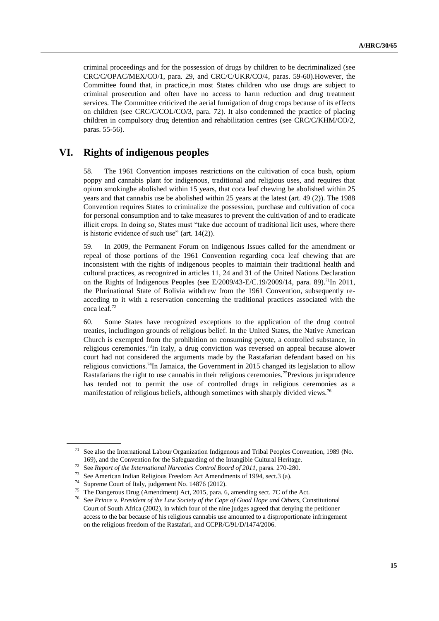criminal proceedings and for the possession of drugs by children to be decriminalized (see CRC/C/OPAC/MEX/CO/1, para. 29, and CRC/C/UKR/CO/4, paras. 59-60).However, the Committee found that, in practice,in most States children who use drugs are subject to criminal prosecution and often have no access to harm reduction and drug treatment services. The Committee criticized the aerial fumigation of drug crops because of its effects on children (see CRC/C/COL/CO/3, para. 72). It also condemned the practice of placing children in compulsory drug detention and rehabilitation centres (see CRC/C/KHM/CO/2, paras. 55-56).

# **VI. Rights of indigenous peoples**

58. The 1961 Convention imposes restrictions on the cultivation of coca bush, opium poppy and cannabis plant for indigenous, traditional and religious uses, and requires that opium smokingbe abolished within 15 years, that coca leaf chewing be abolished within 25 years and that cannabis use be abolished within 25 years at the latest (art. 49 (2)). The 1988 Convention requires States to criminalize the possession, purchase and cultivation of coca for personal consumption and to take measures to prevent the cultivation of and to eradicate illicit crops. In doing so, States must "take due account of traditional licit uses, where there is historic evidence of such use" (art. 14(2)).

59. In 2009, the Permanent Forum on Indigenous Issues called for the amendment or repeal of those portions of the 1961 Convention regarding coca leaf chewing that are inconsistent with the rights of indigenous peoples to maintain their traditional health and cultural practices, as recognized in articles 11, 24 and 31 of the United Nations Declaration on the Rights of Indigenous Peoples (see E/2009/43-E/C.19/2009/14, para. 89).<sup>71</sup>In 2011, the Plurinational State of Bolivia withdrew from the 1961 Convention, subsequently reacceding to it with a reservation concerning the traditional practices associated with the coca leaf.<sup>72</sup>

60. Some States have recognized exceptions to the application of the drug control treaties, includingon grounds of religious belief. In the United States, the Native American Church is exempted from the prohibition on consuming peyote, a controlled substance, in religious ceremonies.<sup>73</sup>In Italy, a drug conviction was reversed on appeal because alower court had not considered the arguments made by the Rastafarian defendant based on his religious convictions.<sup>74</sup>In Jamaica, the Government in 2015 changed its legislation to allow Rastafarians the right to use cannabis in their religious ceremonies.<sup>75</sup>Previous jurisprudence has tended not to permit the use of controlled drugs in religious ceremonies as a manifestation of religious beliefs, although sometimes with sharply divided views.<sup>76</sup>

<sup>71</sup> See also the International Labour Organization Indigenous and Tribal Peoples Convention, 1989 (No. 169), and the Convention for the Safeguarding of the Intangible Cultural Heritage.

<sup>72</sup> See *Report of the International Narcotics Control Board of 2011*, paras. 270-280.

<sup>&</sup>lt;sup>73</sup> See American Indian Religious Freedom Act Amendments of 1994, sect.3 (a).<br><sup>74</sup> Supranna Court of Italy, indexport No. 14876 (2012).

Supreme Court of Italy, judgement No. 14876 (2012).

<sup>75</sup> The Dangerous Drug (Amendment) Act, 2015, para. 6, amending sect. 7C of the Act.

<sup>76</sup> See *Prince v. President of the Law Society of the Cape of Good Hope and Others*, Constitutional Court of South Africa (2002), in which four of the nine judges agreed that denying the petitioner access to the bar because of his religious cannabis use amounted to a disproportionate infringement on the religious freedom of the Rastafari, and CCPR/C/91/D/1474/2006.